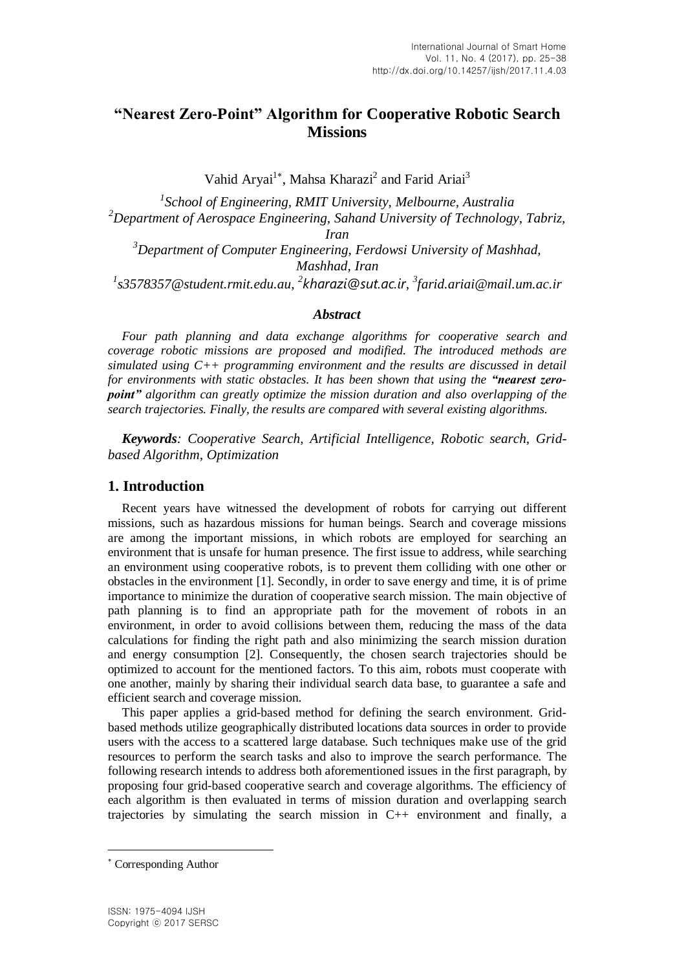# **"Nearest Zero-Point" Algorithm for Cooperative Robotic Search Missions**

Vahid Aryai<sup>1\*</sup>, Mahsa Kharazi<sup>2</sup> and Farid Ariai<sup>3</sup>

*1 School of Engineering, RMIT University, Melbourne, Australia <sup>2</sup>Department of Aerospace Engineering, Sahand University of Technology, Tabriz, Iran <sup>3</sup>Department of Computer Engineering, Ferdowsi University of Mashhad, Mashhad, Iran*

*1 [s3578357@student.rmit.edu.au,](mailto:1s3578357@student.rmit.edu.au) 2 [kharazi@sut.ac.ir](mailto:kharazi@sut.ac.ir), 3 farid.ariai@mail.um.ac.ir*

#### *Abstract*

*Four path planning and data exchange algorithms for cooperative search and coverage robotic missions are proposed and modified. The introduced methods are simulated using C++ programming environment and the results are discussed in detail for environments with static obstacles. It has been shown that using the "nearest zeropoint" algorithm can greatly optimize the mission duration and also overlapping of the search trajectories. Finally, the results are compared with several existing algorithms.*

*Keywords: Cooperative Search, Artificial Intelligence, Robotic search, Gridbased Algorithm, Optimization*

#### **1. Introduction**

Recent years have witnessed the development of robots for carrying out different missions, such as hazardous missions for human beings. Search and coverage missions are among the important missions, in which robots are employed for searching an environment that is unsafe for human presence. The first issue to address, while searching an environment using cooperative robots, is to prevent them colliding with one other or obstacles in the environment [1]. Secondly, in order to save energy and time, it is of prime importance to minimize the duration of cooperative search mission. The main objective of path planning is to find an appropriate path for the movement of robots in an environment, in order to avoid collisions between them, reducing the mass of the data calculations for finding the right path and also minimizing the search mission duration and energy consumption [2]. Consequently, the chosen search trajectories should be optimized to account for the mentioned factors. To this aim, robots must cooperate with one another, mainly by sharing their individual search data base, to guarantee a safe and efficient search and coverage mission.

This paper applies a grid-based method for defining the search environment. Gridbased methods utilize geographically distributed locations data sources in order to provide users with the access to a scattered large database. Such techniques make use of the grid resources to perform the search tasks and also to improve the search performance. The following research intends to address both aforementioned issues in the first paragraph, by proposing four grid-based cooperative search and coverage algorithms. The efficiency of each algorithm is then evaluated in terms of mission duration and overlapping search trajectories by simulating the search mission in  $C_{++}$  environment and finally, a

-

Corresponding Author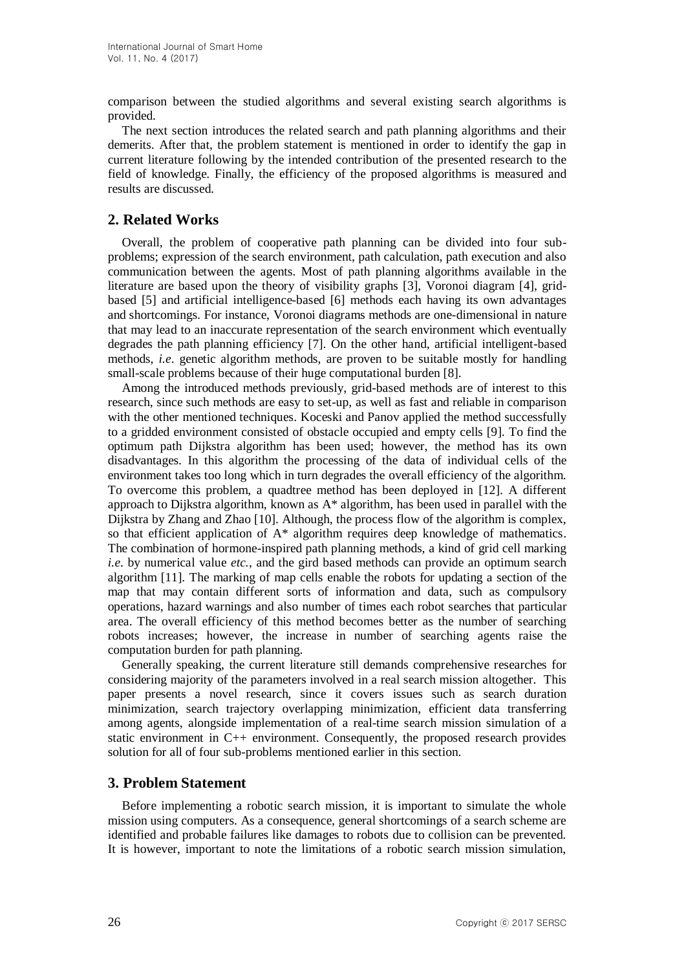comparison between the studied algorithms and several existing search algorithms is provided.

The next section introduces the related search and path planning algorithms and their demerits. After that, the problem statement is mentioned in order to identify the gap in current literature following by the intended contribution of the presented research to the field of knowledge. Finally, the efficiency of the proposed algorithms is measured and results are discussed.

# **2. Related Works**

Overall, the problem of cooperative path planning can be divided into four subproblems; expression of the search environment, path calculation, path execution and also communication between the agents. Most of path planning algorithms available in the literature are based upon the theory of visibility graphs [3], Voronoi diagram [4], gridbased [5] and artificial intelligence-based [6] methods each having its own advantages and shortcomings. For instance, Voronoi diagrams methods are one-dimensional in nature that may lead to an inaccurate representation of the search environment which eventually degrades the path planning efficiency [7]. On the other hand, artificial intelligent-based methods, *i.e*. genetic algorithm methods, are proven to be suitable mostly for handling small-scale problems because of their huge computational burden [8].

Among the introduced methods previously, grid-based methods are of interest to this research, since such methods are easy to set-up, as well as fast and reliable in comparison with the other mentioned techniques. Koceski and Panov applied the method successfully to a gridded environment consisted of obstacle occupied and empty cells [9]. To find the optimum path Dijkstra algorithm has been used; however, the method has its own disadvantages. In this algorithm the processing of the data of individual cells of the environment takes too long which in turn degrades the overall efficiency of the algorithm. To overcome this problem, a quadtree method has been deployed in [12]. A different approach to Dijkstra algorithm, known as A\* algorithm, has been used in parallel with the Dijkstra by Zhang and Zhao [10]. Although, the process flow of the algorithm is complex, so that efficient application of  $A^*$  algorithm requires deep knowledge of mathematics. The combination of hormone-inspired path planning methods, a kind of grid cell marking *i.e*. by numerical value *etc.*, and the gird based methods can provide an optimum search algorithm [11]. The marking of map cells enable the robots for updating a section of the map that may contain different sorts of information and data, such as compulsory operations, hazard warnings and also number of times each robot searches that particular area. The overall efficiency of this method becomes better as the number of searching robots increases; however, the increase in number of searching agents raise the computation burden for path planning.

Generally speaking, the current literature still demands comprehensive researches for considering majority of the parameters involved in a real search mission altogether. This paper presents a novel research, since it covers issues such as search duration minimization, search trajectory overlapping minimization, efficient data transferring among agents, alongside implementation of a real-time search mission simulation of a static environment in C++ environment. Consequently, the proposed research provides solution for all of four sub-problems mentioned earlier in this section.

### **3. Problem Statement**

Before implementing a robotic search mission, it is important to simulate the whole mission using computers. As a consequence, general shortcomings of a search scheme are identified and probable failures like damages to robots due to collision can be prevented. It is however, important to note the limitations of a robotic search mission simulation,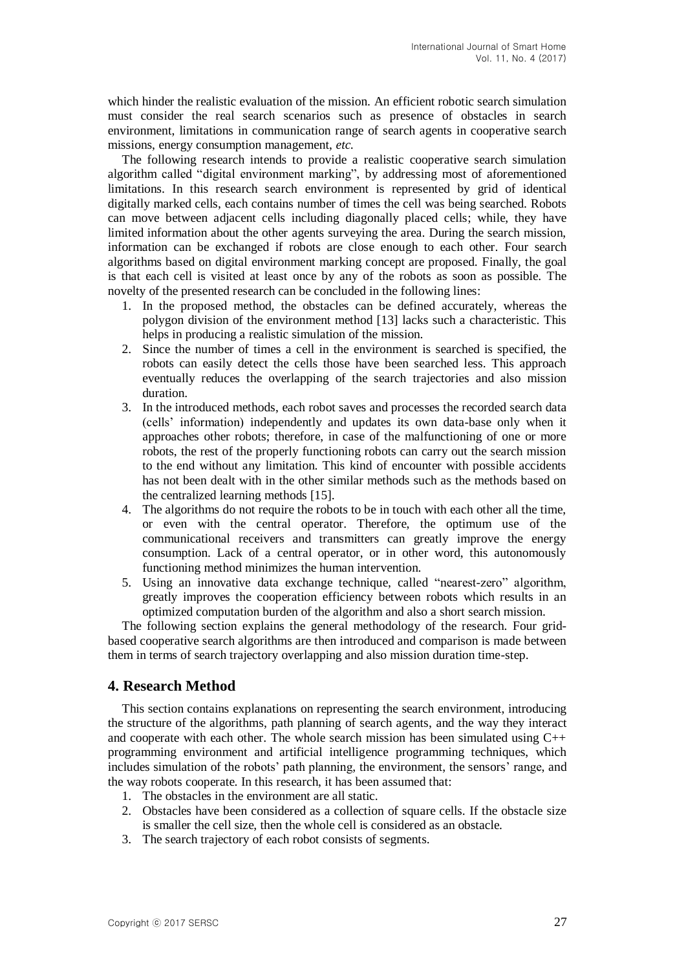which hinder the realistic evaluation of the mission. An efficient robotic search simulation must consider the real search scenarios such as presence of obstacles in search environment, limitations in communication range of search agents in cooperative search missions, energy consumption management, *etc.*

The following research intends to provide a realistic cooperative search simulation algorithm called "digital environment marking", by addressing most of aforementioned limitations. In this research search environment is represented by grid of identical digitally marked cells, each contains number of times the cell was being searched. Robots can move between adjacent cells including diagonally placed cells; while, they have limited information about the other agents surveying the area. During the search mission, information can be exchanged if robots are close enough to each other. Four search algorithms based on digital environment marking concept are proposed. Finally, the goal is that each cell is visited at least once by any of the robots as soon as possible. The novelty of the presented research can be concluded in the following lines:

- 1. In the proposed method, the obstacles can be defined accurately, whereas the polygon division of the environment method [13] lacks such a characteristic. This helps in producing a realistic simulation of the mission.
- 2. Since the number of times a cell in the environment is searched is specified, the robots can easily detect the cells those have been searched less. This approach eventually reduces the overlapping of the search trajectories and also mission duration.
- 3. In the introduced methods, each robot saves and processes the recorded search data (cells' information) independently and updates its own data-base only when it approaches other robots; therefore, in case of the malfunctioning of one or more robots, the rest of the properly functioning robots can carry out the search mission to the end without any limitation. This kind of encounter with possible accidents has not been dealt with in the other similar methods such as the methods based on the centralized learning methods [15].
- 4. The algorithms do not require the robots to be in touch with each other all the time, or even with the central operator. Therefore, the optimum use of the communicational receivers and transmitters can greatly improve the energy consumption. Lack of a central operator, or in other word, this autonomously functioning method minimizes the human intervention.
- 5. Using an innovative data exchange technique, called "nearest-zero" algorithm, greatly improves the cooperation efficiency between robots which results in an optimized computation burden of the algorithm and also a short search mission.

The following section explains the general methodology of the research. Four gridbased cooperative search algorithms are then introduced and comparison is made between them in terms of search trajectory overlapping and also mission duration time-step.

### **4. Research Method**

This section contains explanations on representing the search environment, introducing the structure of the algorithms, path planning of search agents, and the way they interact and cooperate with each other. The whole search mission has been simulated using  $C_{++}$ programming environment and artificial intelligence programming techniques, which includes simulation of the robots' path planning, the environment, the sensors' range, and the way robots cooperate. In this research, it has been assumed that:

- 1. The obstacles in the environment are all static.
- 2. Obstacles have been considered as a collection of square cells. If the obstacle size is smaller the cell size, then the whole cell is considered as an obstacle.
- 3. The search trajectory of each robot consists of segments.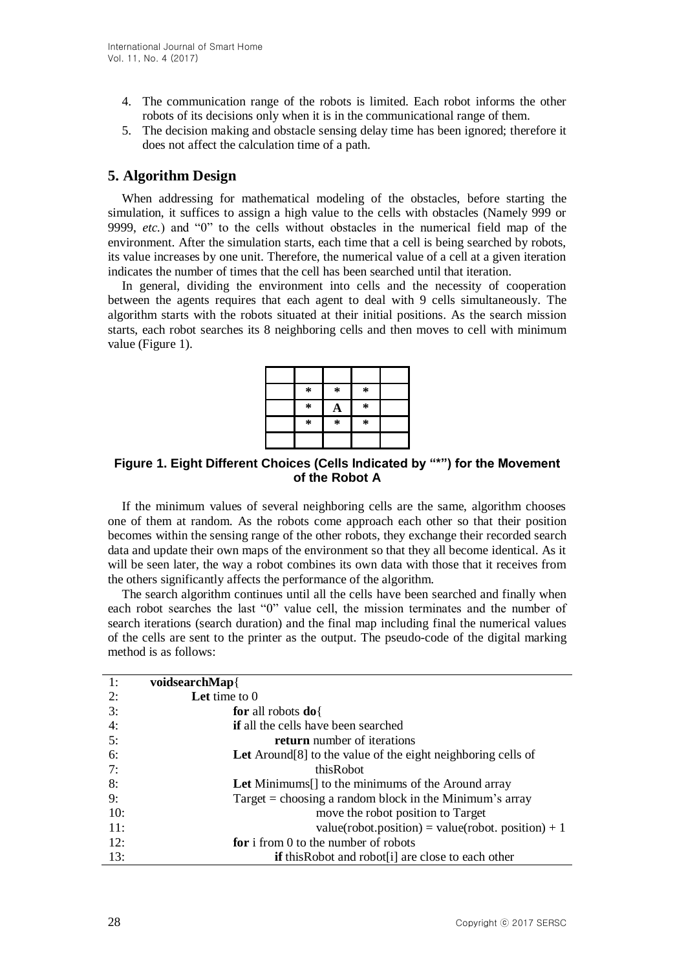- 4. The communication range of the robots is limited. Each robot informs the other robots of its decisions only when it is in the communicational range of them.
- 5. The decision making and obstacle sensing delay time has been ignored; therefore it does not affect the calculation time of a path.

### **5. Algorithm Design**

When addressing for mathematical modeling of the obstacles, before starting the simulation, it suffices to assign a high value to the cells with obstacles (Namely 999 or 9999, *etc.*) and "0" to the cells without obstacles in the numerical field map of the environment. After the simulation starts, each time that a cell is being searched by robots, its value increases by one unit. Therefore, the numerical value of a cell at a given iteration indicates the number of times that the cell has been searched until that iteration.

In general, dividing the environment into cells and the necessity of cooperation between the agents requires that each agent to deal with 9 cells simultaneously. The algorithm starts with the robots situated at their initial positions. As the search mission starts, each robot searches its 8 neighboring cells and then moves to cell with minimum value (Figure 1).

| $\ast$ | $\ast$ | $\ast$ |  |
|--------|--------|--------|--|
| $\ast$ |        | ∗      |  |
| $\ast$ | $\ast$ | *      |  |
|        |        |        |  |

**Figure 1. Eight Different Choices (Cells Indicated by "\*") for the Movement of the Robot A**

If the minimum values of several neighboring cells are the same, algorithm chooses one of them at random. As the robots come approach each other so that their position becomes within the sensing range of the other robots, they exchange their recorded search data and update their own maps of the environment so that they all become identical. As it will be seen later, the way a robot combines its own data with those that it receives from the others significantly affects the performance of the algorithm.

The search algorithm continues until all the cells have been searched and finally when each robot searches the last "0" value cell, the mission terminates and the number of search iterations (search duration) and the final map including final the numerical values of the cells are sent to the printer as the output. The pseudo-code of the digital marking method is as follows:

| 1:  | voidsearchMap{                                                        |
|-----|-----------------------------------------------------------------------|
| 2:  | Let time to $0$                                                       |
| 3:  | for all robots $do\$                                                  |
| 4:  | if all the cells have been searched                                   |
| 5:  | <b>return</b> number of iterations                                    |
| 6:  | Let Around [8] to the value of the eight neighboring cells of         |
| 7:  | thisRobot                                                             |
| 8:  | <b>Let</b> Minimums <sup>[]</sup> to the minimums of the Around array |
| 9:  | Target $=$ choosing a random block in the Minimum's array             |
| 10: | move the robot position to Target                                     |
| 11: | value(robot.position) = value(robot.position) + 1                     |
| 12: | for i from 0 to the number of robots                                  |
| 13: | <b>if</b> this Robot and robot <sup>[1]</sup> are close to each other |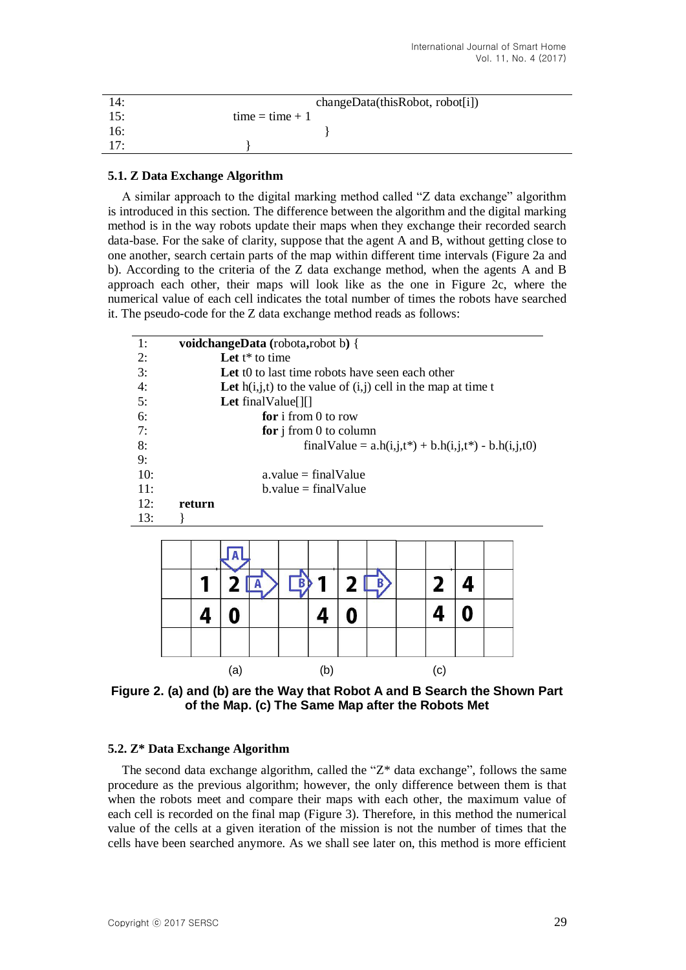| 14: | changeData(thisRoot, robot[i]) |
|-----|--------------------------------|
| 15: | $time = time + 1$              |
| 16: |                                |
| 17: |                                |

#### **5.1. Z Data Exchange Algorithm**

A similar approach to the digital marking method called "Z data exchange" algorithm is introduced in this section. The difference between the algorithm and the digital marking method is in the way robots update their maps when they exchange their recorded search data-base. For the sake of clarity, suppose that the agent A and B, without getting close to one another, search certain parts of the map within different time intervals (Figure 2a and b). According to the criteria of the Z data exchange method, when the agents A and B approach each other, their maps will look like as the one in Figure 2c, where the numerical value of each cell indicates the total number of times the robots have searched it. The pseudo-code for the Z data exchange method reads as follows:



**Figure 2. (a) and (b) are the Way that Robot A and B Search the Shown Part of the Map. (c) The Same Map after the Robots Met**

(a)  $(b)$  (c)

#### **5.2. Z\* Data Exchange Algorithm**

The second data exchange algorithm, called the " $Z^*$  data exchange", follows the same procedure as the previous algorithm; however, the only difference between them is that when the robots meet and compare their maps with each other, the maximum value of each cell is recorded on the final map (Figure 3). Therefore, in this method the numerical value of the cells at a given iteration of the mission is not the number of times that the cells have been searched anymore. As we shall see later on, this method is more efficient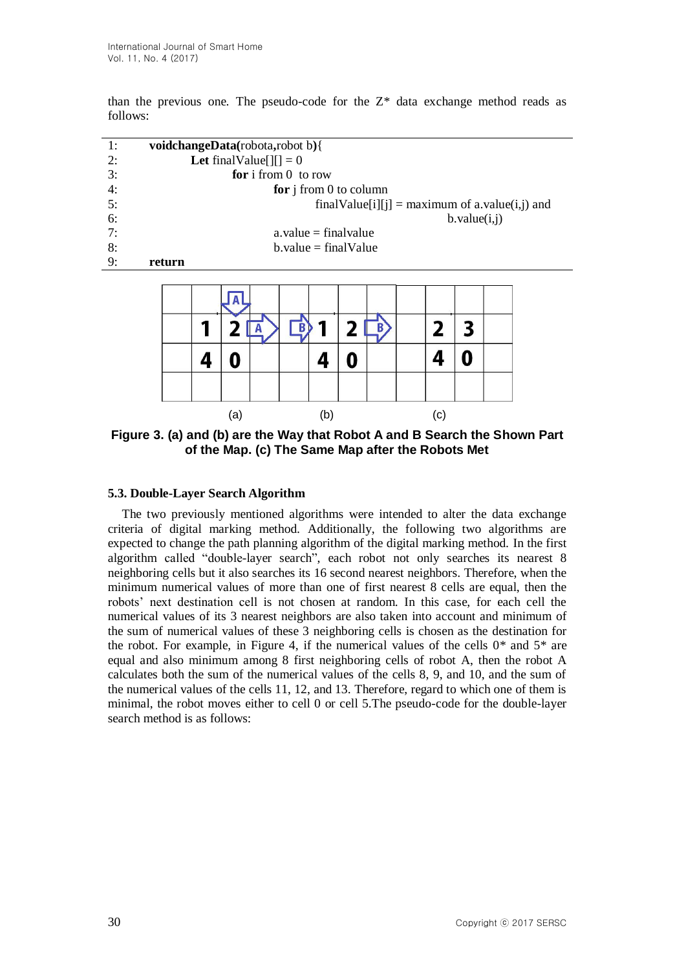than the previous one. The pseudo-code for the  $Z^*$  data exchange method reads as follows:

| 1: | <b>voidchangeData</b> (robota,robot b){                      |
|----|--------------------------------------------------------------|
| 2: | <b>Let</b> final Value $\begin{bmatrix} 1 \end{bmatrix} = 0$ |
| 3: | for i from $0$ to row                                        |
| 4: | for $j$ from 0 to column                                     |
| 5: | finalValue[i][j] = maximum of a.value(i,j) and               |
| 6: | b.value(i, j)                                                |
| 7: | $a$ , value = final value                                    |
| 8: | $b$ . value = final Value                                    |
| 9: | return                                                       |
|    |                                                              |
|    |                                                              |



**Figure 3. (a) and (b) are the Way that Robot A and B Search the Shown Part of the Map. (c) The Same Map after the Robots Met**

#### **5.3. Double-Layer Search Algorithm**

The two previously mentioned algorithms were intended to alter the data exchange criteria of digital marking method. Additionally, the following two algorithms are expected to change the path planning algorithm of the digital marking method. In the first algorithm called "double-layer search", each robot not only searches its nearest 8 neighboring cells but it also searches its 16 second nearest neighbors. Therefore, when the minimum numerical values of more than one of first nearest 8 cells are equal, then the robots' next destination cell is not chosen at random. In this case, for each cell the numerical values of its 3 nearest neighbors are also taken into account and minimum of the sum of numerical values of these 3 neighboring cells is chosen as the destination for the robot. For example, in Figure 4, if the numerical values of the cells  $0^*$  and  $5^*$  are equal and also minimum among 8 first neighboring cells of robot A, then the robot A calculates both the sum of the numerical values of the cells 8, 9, and 10, and the sum of the numerical values of the cells 11, 12, and 13. Therefore, regard to which one of them is minimal, the robot moves either to cell 0 or cell 5.The pseudo-code for the double-layer search method is as follows: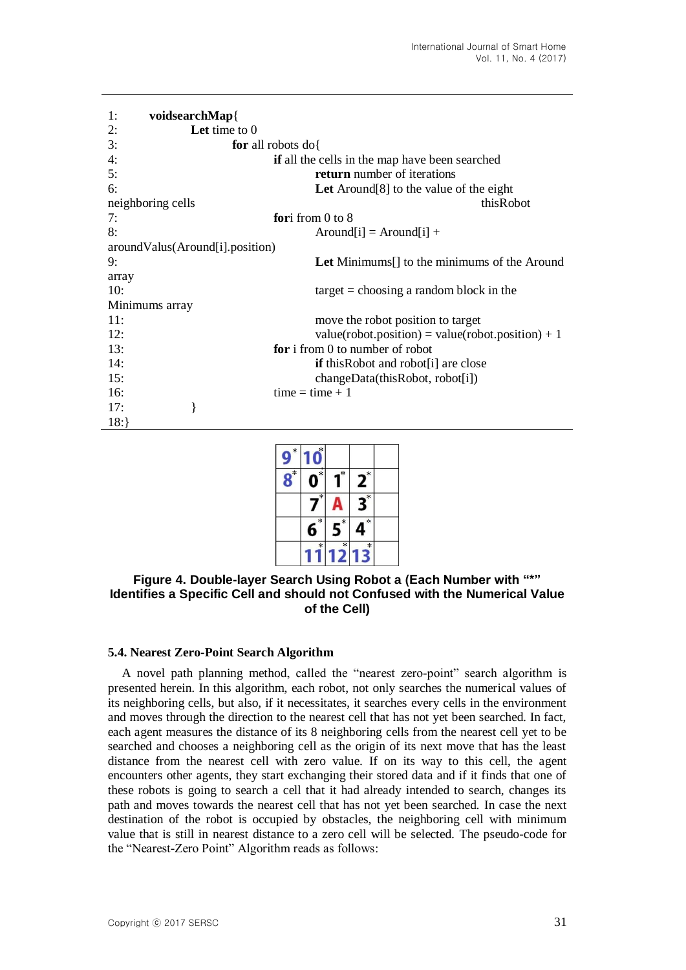```
1: voidsearchMap{
2: Let time to 0
3: for all robots do{
4: if all the cells in the map have been searched
5: return number of iterations
6: Let Around[8] to the value of the eight 
neighboring cells thisRobot that the neighboring cells thisRobot that the neighboring cells that the neighboring cells that the neighboring cells that the neighboring cells that the neighboring cells that the neighboring c
7: fori from 0 to 8
8: Around[i] = Around[i] +
aroundValus(Around[i].position)
9: Let Minimums[] to the minimums of the Around 
array
10: target = choosing a random block in the
Minimums array
11: move the robot position to target
12: value(robot.position) = value(robot.position) + 1
13: for i from 0 to number of robot
14: if this Robot and robot<sup>[i]</sup> are close
15: changeData(thisRobot, robot[i])
16: time = time + 117: }
18:}
```

| * |             |        |                   |  |
|---|-------------|--------|-------------------|--|
| × | ×           | *      | ×                 |  |
|   | ₹           |        | $\overline{\ast}$ |  |
|   | $\ast$<br>ń | ×      | $*$               |  |
|   | $\star$     | $\ast$ | $\ast$            |  |

### **Figure 4. Double-layer Search Using Robot a (Each Number with "\*" Identifies a Specific Cell and should not Confused with the Numerical Value of the Cell)**

#### **5.4. Nearest Zero-Point Search Algorithm**

A novel path planning method, called the "nearest zero-point" search algorithm is presented herein. In this algorithm, each robot, not only searches the numerical values of its neighboring cells, but also, if it necessitates, it searches every cells in the environment and moves through the direction to the nearest cell that has not yet been searched. In fact, each agent measures the distance of its 8 neighboring cells from the nearest cell yet to be searched and chooses a neighboring cell as the origin of its next move that has the least distance from the nearest cell with zero value. If on its way to this cell, the agent encounters other agents, they start exchanging their stored data and if it finds that one of these robots is going to search a cell that it had already intended to search, changes its path and moves towards the nearest cell that has not yet been searched. In case the next destination of the robot is occupied by obstacles, the neighboring cell with minimum value that is still in nearest distance to a zero cell will be selected. The pseudo-code for the "Nearest-Zero Point" Algorithm reads as follows: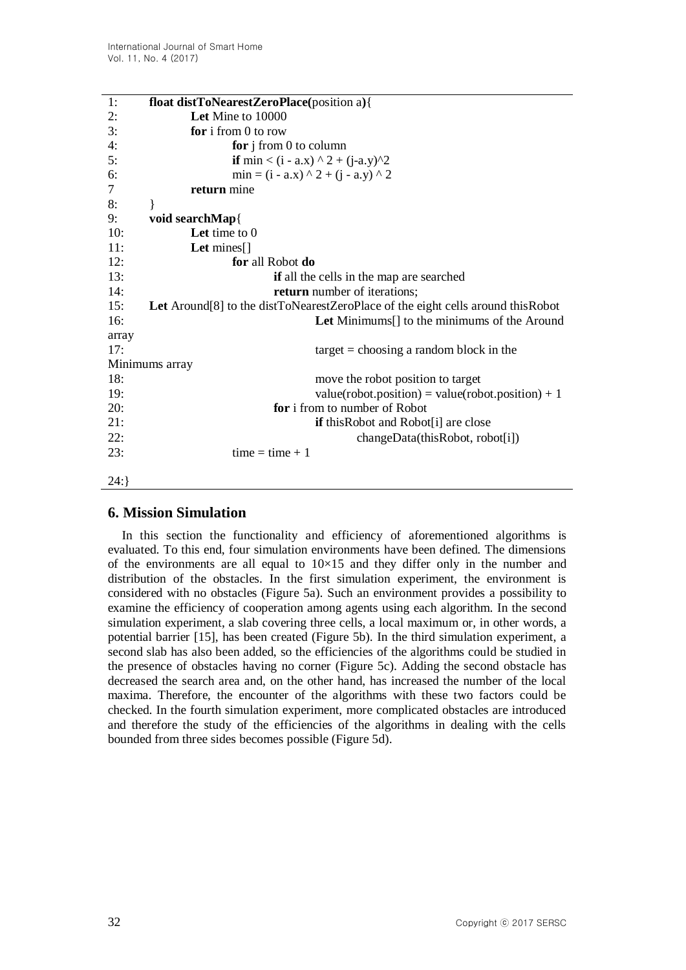| 1:      | float distToNearestZeroPlace(position a){                                       |
|---------|---------------------------------------------------------------------------------|
| 2:      | Let Mine to 10000                                                               |
| 3:      | for $i$ from 0 to row                                                           |
| 4:      | for $j$ from 0 to column                                                        |
| 5:      | if min < (i - a.x) ^ 2 + (j-a.y)^2                                              |
| 6:      | $min = (i - a.x) \land 2 + (j - a.y) \land 2$                                   |
| $\tau$  | return mine                                                                     |
| 8:      |                                                                                 |
| 9:      | void searchMap{                                                                 |
| 10:     | Let time to $0$                                                                 |
| 11:     | Let $\text{mines}[\ ]$                                                          |
| 12:     | for all Robot do                                                                |
| 13:     | if all the cells in the map are searched                                        |
| 14:     | return number of iterations;                                                    |
| 15:     | Let Around[8] to the distToNearestZeroPlace of the eight cells around thisRobot |
| 16:     | Let Minimums <sup>[]</sup> to the minimums of the Around                        |
| array   |                                                                                 |
| 17:     | $target = choosing a random block in the$                                       |
|         | Minimums array                                                                  |
| 18:     | move the robot position to target                                               |
| 19:     | value(robot.position) = value(robot.position) + 1                               |
| 20:     | for i from to number of Robot                                                   |
| 21:     | <b>if</b> this Robot and Robot <sup>[1]</sup> are close                         |
| 22:     | changeData(thisRobot, robot[i])                                                 |
| 23:     | $time = time + 1$                                                               |
|         |                                                                                 |
| $24:$ } |                                                                                 |

# **6. Mission Simulation**

In this section the functionality and efficiency of aforementioned algorithms is evaluated. To this end, four simulation environments have been defined. The dimensions of the environments are all equal to  $10\times15$  and they differ only in the number and distribution of the obstacles. In the first simulation experiment, the environment is considered with no obstacles (Figure 5a). Such an environment provides a possibility to examine the efficiency of cooperation among agents using each algorithm. In the second simulation experiment, a slab covering three cells, a local maximum or, in other words, a potential barrier [15], has been created (Figure 5b). In the third simulation experiment, a second slab has also been added, so the efficiencies of the algorithms could be studied in the presence of obstacles having no corner (Figure 5c). Adding the second obstacle has decreased the search area and, on the other hand, has increased the number of the local maxima. Therefore, the encounter of the algorithms with these two factors could be checked. In the fourth simulation experiment, more complicated obstacles are introduced and therefore the study of the efficiencies of the algorithms in dealing with the cells bounded from three sides becomes possible (Figure 5d).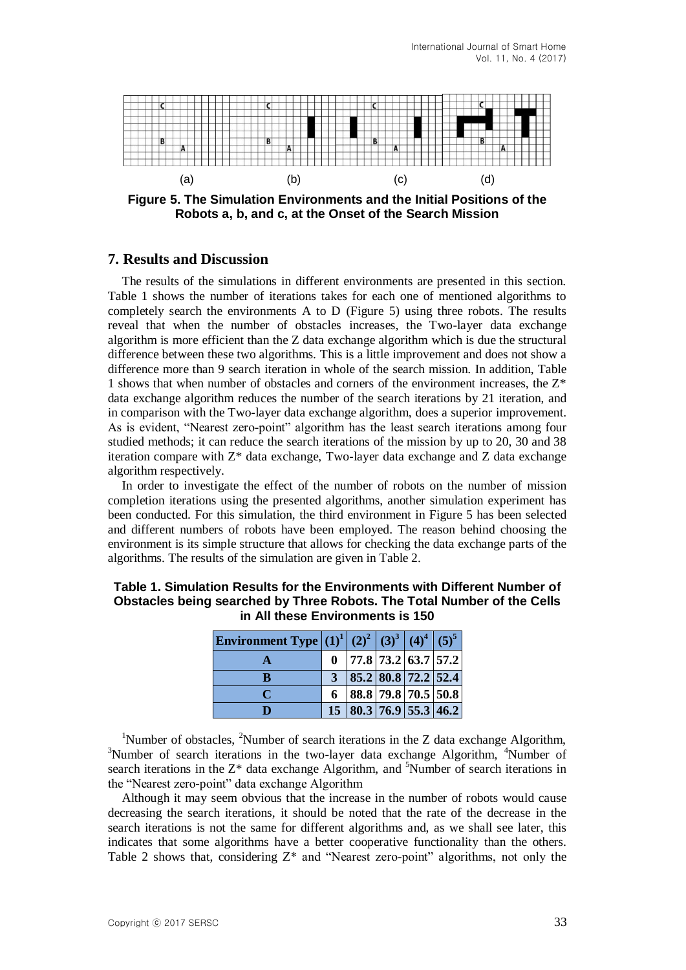

**Figure 5. The Simulation Environments and the Initial Positions of the Robots a, b, and c, at the Onset of the Search Mission**

#### **7. Results and Discussion**

The results of the simulations in different environments are presented in this section. Table 1 shows the number of iterations takes for each one of mentioned algorithms to completely search the environments A to D (Figure 5) using three robots. The results reveal that when the number of obstacles increases, the Two-layer data exchange algorithm is more efficient than the Z data exchange algorithm which is due the structural difference between these two algorithms. This is a little improvement and does not show a difference more than 9 search iteration in whole of the search mission. In addition, Table 1 shows that when number of obstacles and corners of the environment increases, the  $Z^*$ data exchange algorithm reduces the number of the search iterations by 21 iteration, and in comparison with the Two-layer data exchange algorithm, does a superior improvement. As is evident, "Nearest zero-point" algorithm has the least search iterations among four studied methods; it can reduce the search iterations of the mission by up to 20, 30 and 38 iteration compare with Z\* data exchange, Two-layer data exchange and Z data exchange algorithm respectively.

In order to investigate the effect of the number of robots on the number of mission completion iterations using the presented algorithms, another simulation experiment has been conducted. For this simulation, the third environment in Figure 5 has been selected and different numbers of robots have been employed. The reason behind choosing the environment is its simple structure that allows for checking the data exchange parts of the algorithms. The results of the simulation are given in Table 2.

| Environment Type $ (1)^{1}  (2)^{2}   (3)^{3}   (4)^{4}   (5)^{5}  $ |                                 |  |                                |
|----------------------------------------------------------------------|---------------------------------|--|--------------------------------|
|                                                                      | $0$   77.8   73.2   63.7   57.2 |  |                                |
| R                                                                    |                                 |  | 85.2 80.8 72.2 52.4            |
|                                                                      |                                 |  | 88.8 79.8 70.5 50.8            |
|                                                                      |                                 |  | 15   80.3   76.9   55.3   46.2 |

| Table 1. Simulation Results for the Environments with Different Number of |
|---------------------------------------------------------------------------|
| Obstacles being searched by Three Robots. The Total Number of the Cells   |
| in All these Environments is 150                                          |

<sup>1</sup>Number of obstacles, <sup>2</sup>Number of search iterations in the Z data exchange Algorithm,  $3$ Number of search iterations in the two-layer data exchange Algorithm,  $4$ Number of search iterations in the  $Z^*$  data exchange Algorithm, and <sup>5</sup>Number of search iterations in the "Nearest zero-point" data exchange Algorithm

Although it may seem obvious that the increase in the number of robots would cause decreasing the search iterations, it should be noted that the rate of the decrease in the search iterations is not the same for different algorithms and, as we shall see later, this indicates that some algorithms have a better cooperative functionality than the others. Table 2 shows that, considering  $Z^*$  and "Nearest zero-point" algorithms, not only the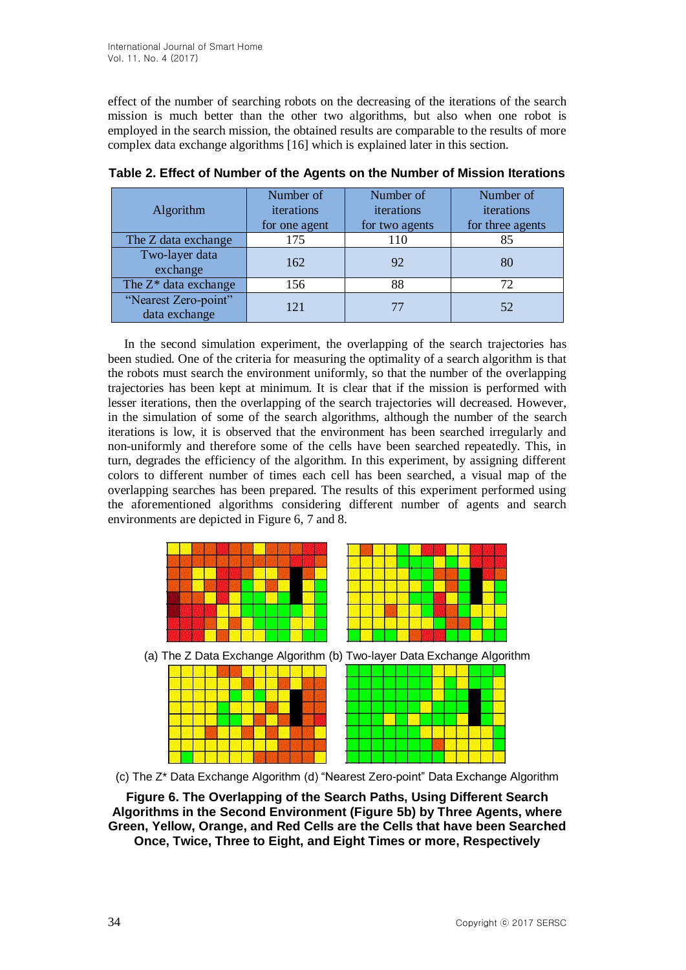effect of the number of searching robots on the decreasing of the iterations of the search mission is much better than the other two algorithms, but also when one robot is employed in the search mission, the obtained results are comparable to the results of more complex data exchange algorithms [16] which is explained later in this section.

| Algorithm                             | Number of<br>iterations<br>for one agent | Number of<br>iterations<br>for two agents | Number of<br>iterations<br>for three agents |
|---------------------------------------|------------------------------------------|-------------------------------------------|---------------------------------------------|
| The Z data exchange                   | 175                                      | 110                                       | 85                                          |
| Two-layer data<br>exchange            | 162                                      | 92                                        | 80                                          |
| The Z <sup>*</sup> data exchange      | 156                                      | 88                                        | 72                                          |
| "Nearest Zero-point"<br>data exchange | 121                                      |                                           | 52                                          |

**Table 2. Effect of Number of the Agents on the Number of Mission Iterations**

In the second simulation experiment, the overlapping of the search trajectories has been studied. One of the criteria for measuring the optimality of a search algorithm is that the robots must search the environment uniformly, so that the number of the overlapping trajectories has been kept at minimum. It is clear that if the mission is performed with lesser iterations, then the overlapping of the search trajectories will decreased. However, in the simulation of some of the search algorithms, although the number of the search iterations is low, it is observed that the environment has been searched irregularly and non-uniformly and therefore some of the cells have been searched repeatedly. This, in turn, degrades the efficiency of the algorithm. In this experiment, by assigning different colors to different number of times each cell has been searched, a visual map of the overlapping searches has been prepared. The results of this experiment performed using the aforementioned algorithms considering different number of agents and search environments are depicted in Figure 6, 7 and 8.





**Figure 6. The Overlapping of the Search Paths, Using Different Search Algorithms in the Second Environment (Figure 5b) by Three Agents, where Green, Yellow, Orange, and Red Cells are the Cells that have been Searched Once, Twice, Three to Eight, and Eight Times or more, Respectively**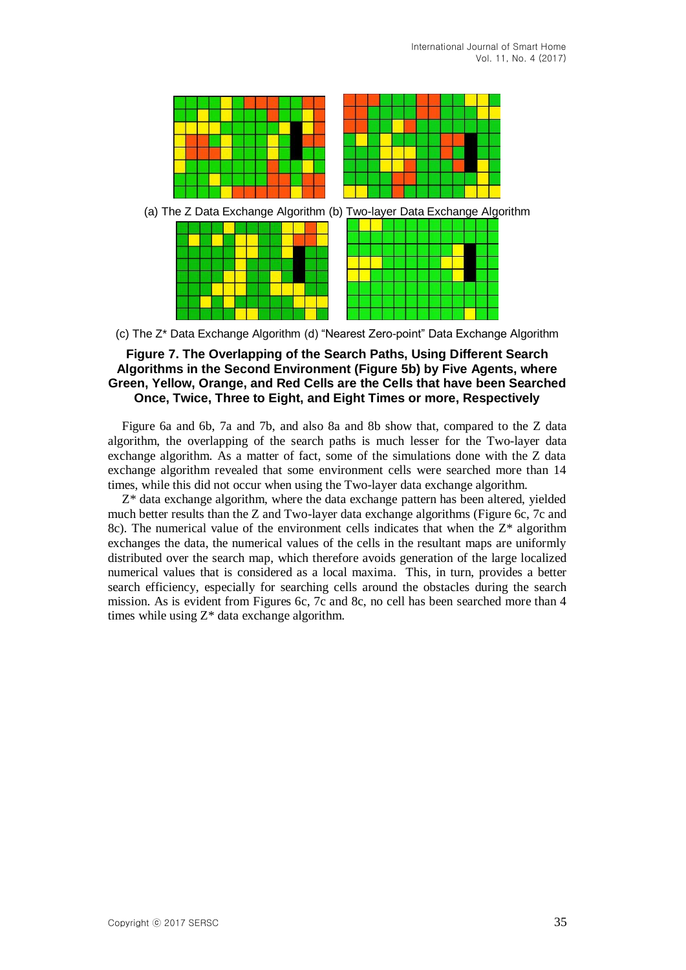

(c) The Z\* Data Exchange Algorithm (d) "Nearest Zero-point" Data Exchange Algorithm

#### **Figure 7. The Overlapping of the Search Paths, Using Different Search Algorithms in the Second Environment (Figure 5b) by Five Agents, where Green, Yellow, Orange, and Red Cells are the Cells that have been Searched Once, Twice, Three to Eight, and Eight Times or more, Respectively**

Figure 6a and 6b, 7a and 7b, and also 8a and 8b show that, compared to the Z data algorithm, the overlapping of the search paths is much lesser for the Two-layer data exchange algorithm. As a matter of fact, some of the simulations done with the Z data exchange algorithm revealed that some environment cells were searched more than 14 times, while this did not occur when using the Two-layer data exchange algorithm.

Z\* data exchange algorithm, where the data exchange pattern has been altered, yielded much better results than the Z and Two-layer data exchange algorithms (Figure 6c, 7c and 8c). The numerical value of the environment cells indicates that when the  $Z^*$  algorithm exchanges the data, the numerical values of the cells in the resultant maps are uniformly distributed over the search map, which therefore avoids generation of the large localized numerical values that is considered as a local maxima. This, in turn, provides a better search efficiency, especially for searching cells around the obstacles during the search mission. As is evident from Figures 6c, 7c and 8c, no cell has been searched more than 4 times while using Z\* data exchange algorithm.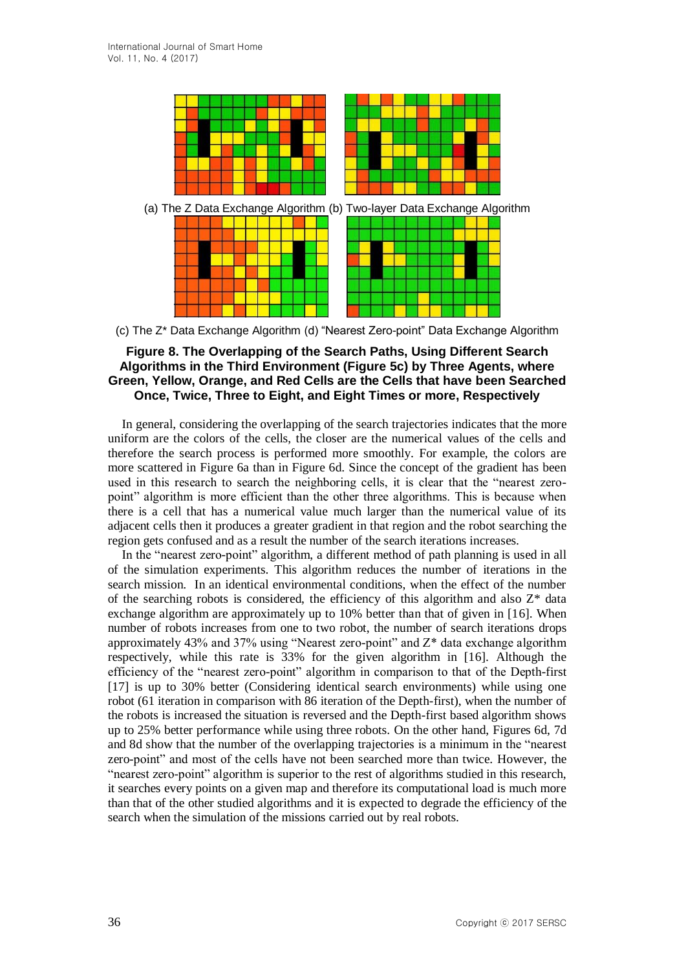

(c) The Z\* Data Exchange Algorithm (d) "Nearest Zero-point" Data Exchange Algorithm

#### **Figure 8. The Overlapping of the Search Paths, Using Different Search Algorithms in the Third Environment (Figure 5c) by Three Agents, where Green, Yellow, Orange, and Red Cells are the Cells that have been Searched Once, Twice, Three to Eight, and Eight Times or more, Respectively**

In general, considering the overlapping of the search trajectories indicates that the more uniform are the colors of the cells, the closer are the numerical values of the cells and therefore the search process is performed more smoothly. For example, the colors are more scattered in Figure 6a than in Figure 6d. Since the concept of the gradient has been used in this research to search the neighboring cells, it is clear that the "nearest zeropoint" algorithm is more efficient than the other three algorithms. This is because when there is a cell that has a numerical value much larger than the numerical value of its adjacent cells then it produces a greater gradient in that region and the robot searching the region gets confused and as a result the number of the search iterations increases.

In the "nearest zero-point" algorithm, a different method of path planning is used in all of the simulation experiments. This algorithm reduces the number of iterations in the search mission. In an identical environmental conditions, when the effect of the number of the searching robots is considered, the efficiency of this algorithm and also  $Z^*$  data exchange algorithm are approximately up to 10% better than that of given in [16]. When number of robots increases from one to two robot, the number of search iterations drops approximately 43% and 37% using "Nearest zero-point" and Z\* data exchange algorithm respectively, while this rate is 33% for the given algorithm in [16]. Although the efficiency of the "nearest zero-point" algorithm in comparison to that of the Depth-first [17] is up to 30% better (Considering identical search environments) while using one robot (61 iteration in comparison with 86 iteration of the Depth-first), when the number of the robots is increased the situation is reversed and the Depth-first based algorithm shows up to 25% better performance while using three robots. On the other hand, Figures 6d, 7d and 8d show that the number of the overlapping trajectories is a minimum in the "nearest zero-point" and most of the cells have not been searched more than twice. However, the "nearest zero-point" algorithm is superior to the rest of algorithms studied in this research, it searches every points on a given map and therefore its computational load is much more than that of the other studied algorithms and it is expected to degrade the efficiency of the search when the simulation of the missions carried out by real robots.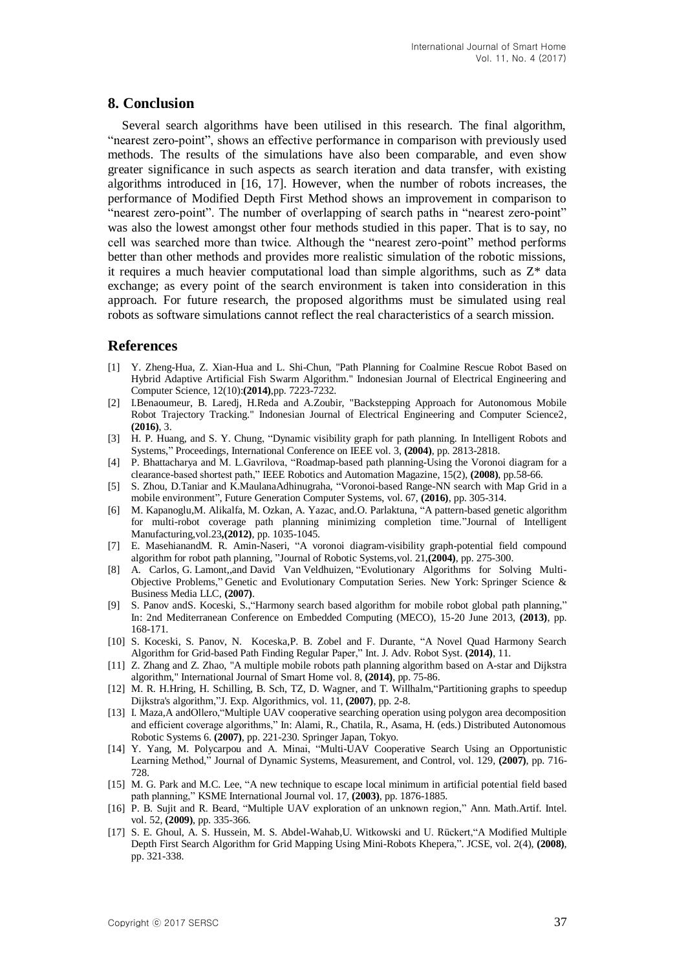### **8. Conclusion**

Several search algorithms have been utilised in this research. The final algorithm, "nearest zero-point", shows an effective performance in comparison with previously used methods. The results of the simulations have also been comparable, and even show greater significance in such aspects as search iteration and data transfer, with existing algorithms introduced in [16, 17]. However, when the number of robots increases, the performance of Modified Depth First Method shows an improvement in comparison to "nearest zero-point". The number of overlapping of search paths in "nearest zero-point" was also the lowest amongst other four methods studied in this paper. That is to say, no cell was searched more than twice. Although the "nearest zero-point" method performs better than other methods and provides more realistic simulation of the robotic missions, it requires a much heavier computational load than simple algorithms, such as Z\* data exchange; as every point of the search environment is taken into consideration in this approach. For future research, the proposed algorithms must be simulated using real robots as software simulations cannot reflect the real characteristics of a search mission.

### **References**

- [1] Y. Zheng-Hua, Z. Xian-Hua and L. Shi-Chun, "Path Planning for Coalmine Rescue Robot Based on Hybrid Adaptive Artificial Fish Swarm Algorithm." Indonesian Journal of Electrical Engineering and Computer Science, 12(10):**(2014)**,pp. 7223-7232.
- [2] I.Benaoumeur, B. Laredj, H.Reda and A.Zoubir, "Backstepping Approach for Autonomous Mobile Robot Trajectory Tracking." Indonesian Journal of Electrical Engineering and Computer Science2, **(2016)**, 3.
- [3] H. P. Huang, and S. Y. Chung, "Dynamic visibility graph for path planning. In Intelligent Robots and Systems," Proceedings, International Conference on IEEE vol. 3, **(2004)**, pp. 2813-2818.
- [4] P. Bhattacharya and M. L.Gavrilova, "Roadmap-based path planning-Using the Voronoi diagram for a clearance-based shortest path," IEEE Robotics and Automation Magazine, 15(2), **(2008)**, pp.58-66.
- [5] S. Zhou, D.Taniar and K.MaulanaAdhinugraha, "Voronoi-based Range-NN search with Map Grid in a mobile environment", Future Generation Computer Systems, vol. 67, **(2016)**, pp. 305-314.
- [6] M. Kapanoglu,M. Alikalfa, M. Ozkan, A. Yazac, and.O. Parlaktuna, "A pattern-based genetic algorithm for multi-robot coverage path planning minimizing completion time."Journal of Intelligent Manufacturing,vol.23**,(2012)**, pp. 1035-1045.
- [7] E. MasehianandM. R. Amin-Naseri, "A voronoi diagram-visibility graph-potential field compound algorithm for robot path planning, "Journal of Robotic Systems,vol. 21,**(2004)**, pp. 275-300.
- [8] A. Carlos, G. Lamont,,and David Van Veldhuizen, "Evolutionary Algorithms for Solving Multi-Objective Problems," Genetic and Evolutionary Computation Series. New York: Springer Science & Business Media LLC, **(2007)**.
- [9] S. Panov andS. Koceski, S.,"Harmony search based algorithm for mobile robot global path planning," In: 2nd Mediterranean Conference on Embedded Computing (MECO), 15-20 June 2013, **(2013)**, pp. 168-171.
- [10] S. Koceski, S. Panov, N. Koceska,P. B. Zobel and F. Durante, "A Novel Quad Harmony Search Algorithm for Grid-based Path Finding Regular Paper," Int. J. Adv. Robot Syst. **(2014)**, 11.
- [11] Z. Zhang and Z. Zhao, "A multiple mobile robots path planning algorithm based on A-star and Dijkstra algorithm," International Journal of Smart Home vol. 8, **(2014)**, pp. 75-86.
- [12] M. R. H.Hring, H. Schilling, B. Sch, TZ, D. Wagner, and T. Willhalm, "Partitioning graphs to speedup Dijkstra's algorithm,"J. Exp. Algorithmics, vol. 11, **(2007)**, pp. 2-8.
- [13] I. Maza,A andOllero,"Multiple UAV cooperative searching operation using polygon area decomposition and efficient coverage algorithms," In: Alami, R., Chatila, R., Asama, H. (eds.) Distributed Autonomous Robotic Systems 6. **(2007)**, pp. 221-230. Springer Japan, Tokyo.
- [14] Y. Yang, M. Polycarpou and A. Minai, "Multi-UAV Cooperative Search Using an Opportunistic Learning Method," Journal of Dynamic Systems, Measurement, and Control, vol. 129, **(2007)**, pp. 716- 728.
- [15] M. G. Park and M.C. Lee, "A new technique to escape local minimum in artificial potential field based path planning," KSME International Journal vol. 17, **(2003)**, pp. 1876-1885.
- [16] P. B. Sujit and R. Beard, "Multiple UAV exploration of an unknown region," Ann. Math.Artif. Intel. vol. 52, **(2009)**, pp. 335-366.
- [17] S. E. Ghoul, A. S. Hussein, M. S. Abdel-Wahab,U. Witkowski and U. Rückert,"A Modified Multiple Depth First Search Algorithm for Grid Mapping Using Mini-Robots Khepera,". JCSE, vol. 2(4), **(2008)**, pp. 321-338.